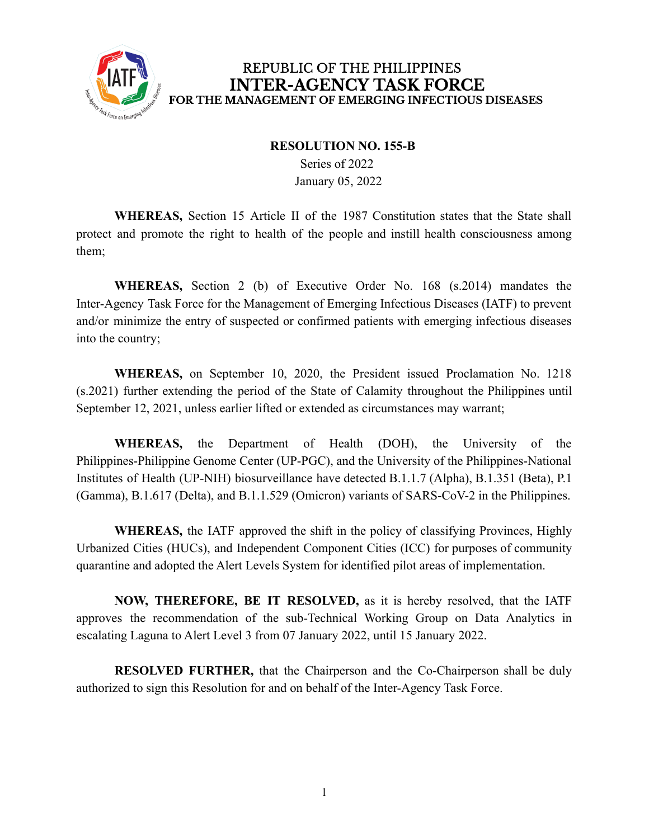

## REPUBLIC OF THE PHILIPPINES **INTER-AGENCY TASK FORCE** FOR THE MANAGEMENT OF EMERGING INFECTIOUS DISEASES

## **RESOLUTION NO. 155-B**

Series of 2022 January 05, 2022

**WHEREAS,** Section 15 Article II of the 1987 Constitution states that the State shall protect and promote the right to health of the people and instill health consciousness among them;

**WHEREAS,** Section 2 (b) of Executive Order No. 168 (s.2014) mandates the Inter-Agency Task Force for the Management of Emerging Infectious Diseases (IATF) to prevent and/or minimize the entry of suspected or confirmed patients with emerging infectious diseases into the country;

**WHEREAS,** on September 10, 2020, the President issued Proclamation No. 1218 (s.2021) further extending the period of the State of Calamity throughout the Philippines until September 12, 2021, unless earlier lifted or extended as circumstances may warrant;

**WHEREAS,** the Department of Health (DOH), the University of the Philippines-Philippine Genome Center (UP-PGC), and the University of the Philippines-National Institutes of Health (UP-NIH) biosurveillance have detected B.1.1.7 (Alpha), B.1.351 (Beta), P.1 (Gamma), B.1.617 (Delta), and B.1.1.529 (Omicron) variants of SARS-CoV-2 in the Philippines.

**WHEREAS,** the IATF approved the shift in the policy of classifying Provinces, Highly Urbanized Cities (HUCs), and Independent Component Cities (ICC) for purposes of community quarantine and adopted the Alert Levels System for identified pilot areas of implementation.

**NOW, THEREFORE, BE IT RESOLVED,** as it is hereby resolved, that the IATF approves the recommendation of the sub-Technical Working Group on Data Analytics in escalating Laguna to Alert Level 3 from 07 January 2022, until 15 January 2022.

**RESOLVED FURTHER,** that the Chairperson and the Co-Chairperson shall be duly authorized to sign this Resolution for and on behalf of the Inter-Agency Task Force.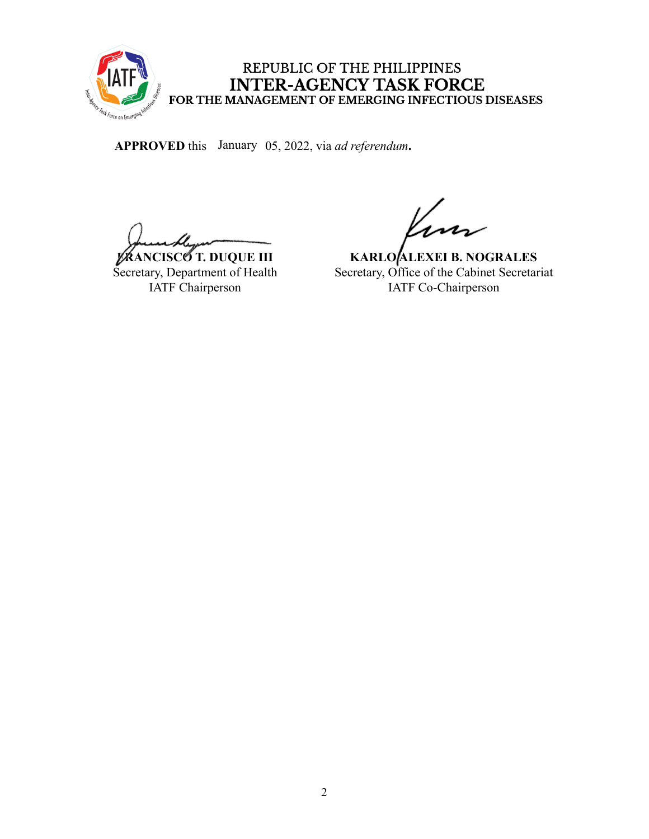

## REPUBLIC OF THE PHILIPPINES INTER-AGENCY TASK FORCE<br>FOR THE MANAGEMENT OF EMERGING INFECTIOUS DISEASES

APPROVED this January 05, 2022, via *ad referendum*.

**FRANCISCO T. DUQUE III** Secretary, Department of Health IATF Chairperson

**KARLO ALEXEI B. NOGRALES** Secretary, Office of the Cabinet Secretariat IATF Co-Chairperson